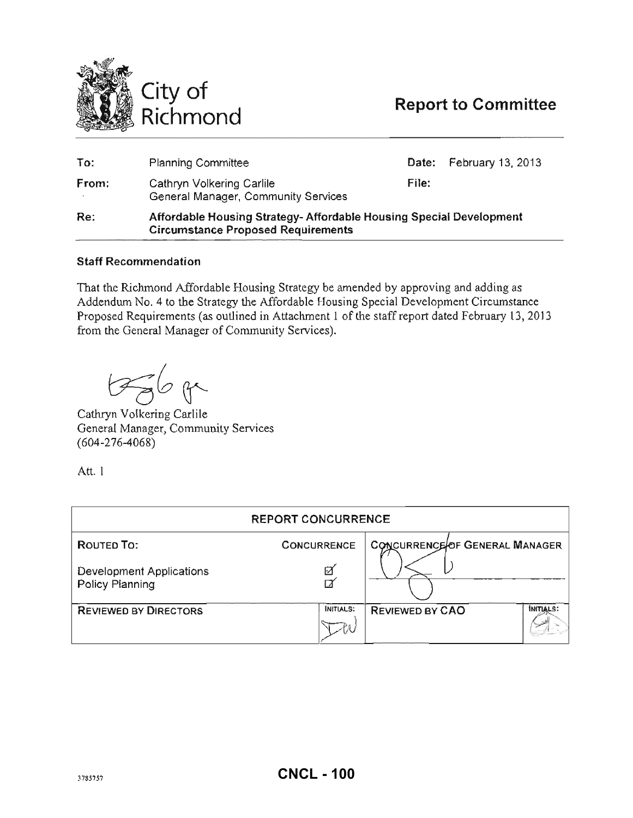

| To:   | <b>Planning Committee</b>                                                                                       |       | Date: February 13, 2013 |  |
|-------|-----------------------------------------------------------------------------------------------------------------|-------|-------------------------|--|
| From: | Cathryn Volkering Carlile<br>General Manager, Community Services                                                | File: |                         |  |
| Re:   | Affordable Housing Strategy-Affordable Housing Special Development<br><b>Circumstance Proposed Requirements</b> |       |                         |  |

#### Staff Recommendation

That the Richmond Affordable Housing Strategy be amended by approving and adding as Addendum No.4 to the Strategy the Affordable Housing Special Development Circumstance Proposed Requirements (as outlined in Attachment 1 of the staff report dated February 13, 2013 from the General Manager of Community Services).

 $276$  gr

Cathryn Volkering Carlile General Manager, Community Services (604-276-4068)

Att. I

| <b>REPORT CONCURRENCE</b>                   |                    |                                      |           |  |  |
|---------------------------------------------|--------------------|--------------------------------------|-----------|--|--|
| ROUTED TO:                                  | <b>CONCURRENCE</b> | <b>CONCURRENCEOF GENERAL MANAGER</b> |           |  |  |
| Development Applications<br>Policy Planning | Ø<br>☑             |                                      |           |  |  |
| <b>REVIEWED BY DIRECTORS</b>                | <b>INITIALS:</b>   | <b>REVIEWED BY CAO</b>               | INITIALS: |  |  |
|                                             |                    |                                      |           |  |  |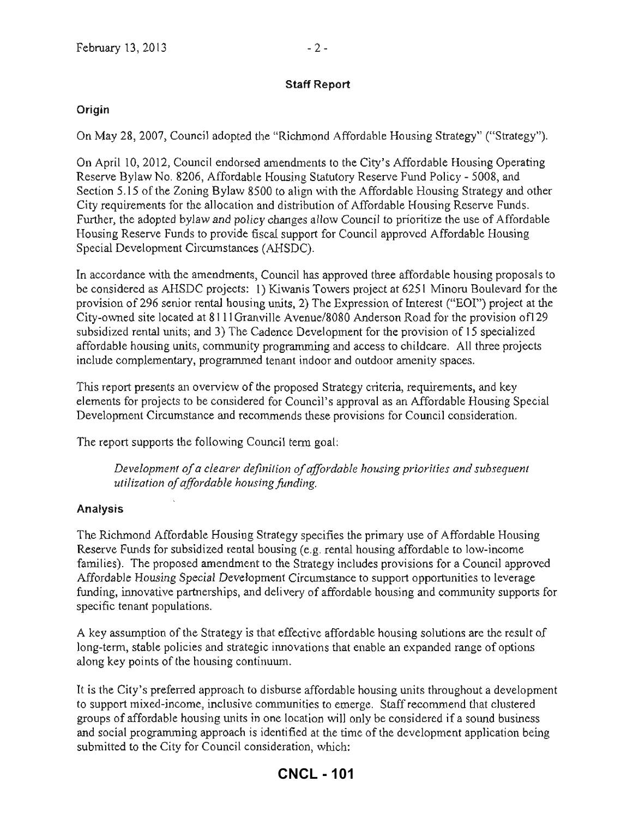#### Staff Report

### **Origin**

On May 28, 2007, Council adopted the "Richmond Affordable Housing Strategy" ("Strategy").

On April 10, 2012, Council endorsed amendments to the City's Affordable Housing Operating Reserve Bylaw No. 8206, Affordable Housing Statutory Reserve Fund Policy - 5008, and Section *5.15* of the Zoning Bylaw 8500 to align with the Affordable Housing Strategy and other City requirements for the allocation and distribution of Affordable Housing Reserve Funds. Further, the adopted bylaw and policy changes allow Council to prioritize the use of Affordable Housing Reserve Funds to provide fiscal support for Council approved Affordable Housing Special Development Circumstances (AHSDC).

In accordance with the amendments, Council has approved three affordable housing proposals to be considered as AHSDC projects: I) Kiwanis Towers project at 6251 Minoru Boulevard for the provision of296 senior rental housing units, 2) The Expression of Interest ("E01") project at the City-owned site located at 8111 Granville A venue/8080 Anderson Road for the provision ofl29 subsidized rental units; and 3) The Cadence Development for the provision of 15 specialized affordable housing units, community programming and access to childcare, All three projects include complementary, programmed tenant indoor and outdoor amenity spaces,

This report presents an overview of the proposed Strategy criteria, requirements, and key elements for projects to be considered for Council's approval as an Affordable Housing Special Development Circumstance and recommends these provisions for Council consideration,

The report supports the following Council term goal:

*Development of a clearer definition of affordable housing priorities and subsequent utilization of affordable housing funding.* 

### **AnalysiS**

The Richmond Affordable Housing Strategy specifics the primary use of Affordable Housing Reserve Funds for subsidized rental housing (e.g. rental housing affordable to low-income families). The proposed amendment to the Strategy includes provisions for a Council approved Affordable Housing Special Development Circumstance to support opportunities to leverage funding, innovative partnerships, and delivery of affordable housing and community supports for specific tenant populations.

A key assumption of the Strategy is that effective affordable housing solutions are the result of long-term, stable policies and strategic innovations that enable an expanded range of options along key points of the housing continuum.

It is the City's preferred approach to disburse affordable housing units throughout a development to support mixed-income, inclusive communities to emerge. Staff recommend that clustered groups of affordable housing units in one location will only be considered if a sound business and social programming approach is identified at the time of the development application being submitted to the City for Council consideration, which:

# **CNCL - 101**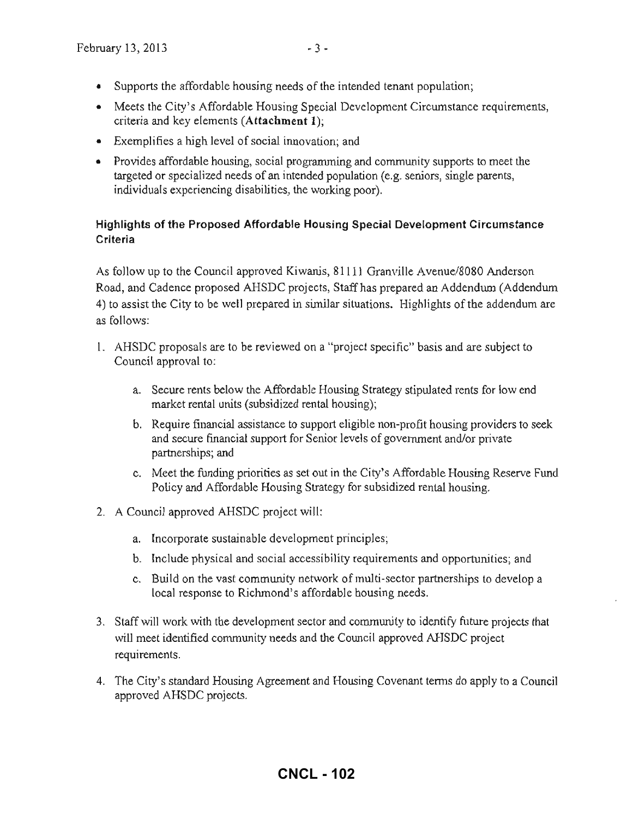- Supports the affordable housing needs of the intended tenant population;
- Meets the City's Affordable Housing Special Development Circumstance requirements, criteria and key elements **(Attachment** 1);
- Exemplifies a high level of social innovation; and
- Provides affordable housing, social programming and community supports to meet the targeted or specialized needs of an intended population (e.g. seniors, single parents, individuals experiencing disabilities, the working poor).

## **Highlights of the Proposed Affordable Housing Special Development Circumstance Criteria**

As follow up to the Council approved Kiwanis, 81111 Granville Avenue/8080 Anderson Road, and Cadence proposed AHSDC projects, Staff has prepared an Addendum (Addendum 4) to assist the City to be well prepared in similar situations. Highlights of the addendum are as follows:

- 1. AHSDC proposals are to be reviewed on a "project specific" basis and are subject to Council approval to:
	- a. Secure rents below the Affordable Housing Strategy stipulated rents for low end market rental units (subsidized rental housing);
	- b. Require financial assistance to support eligible non-profit housing providers to seek and secure fmancial support for Senior levels of goverrunent andlor private partnerships; and
	- c. Meet the funding priorities as set out in the City's Affordable Housing Reserve Fund Policy and Affordable Housing Strategy for subsidized rental housing.
- 2. A Council approved AHSDC project will:
	- a. Incorporate sustainable development principles;
	- b. Include physical and social accessibility requirements and opportunities; and
	- c. Build on the vast community network of multi-sector partnerships to develop a local response to Richmond's affordable housing needs.
- 3. Staff will work with the development sector and community to identify future projects that will meet identified community needs and the Council approved AHSDC project requirements.
- 4. The City's standard Housing Agreement and Housing Covenant tenns do apply to a Council approved AHSDC projects.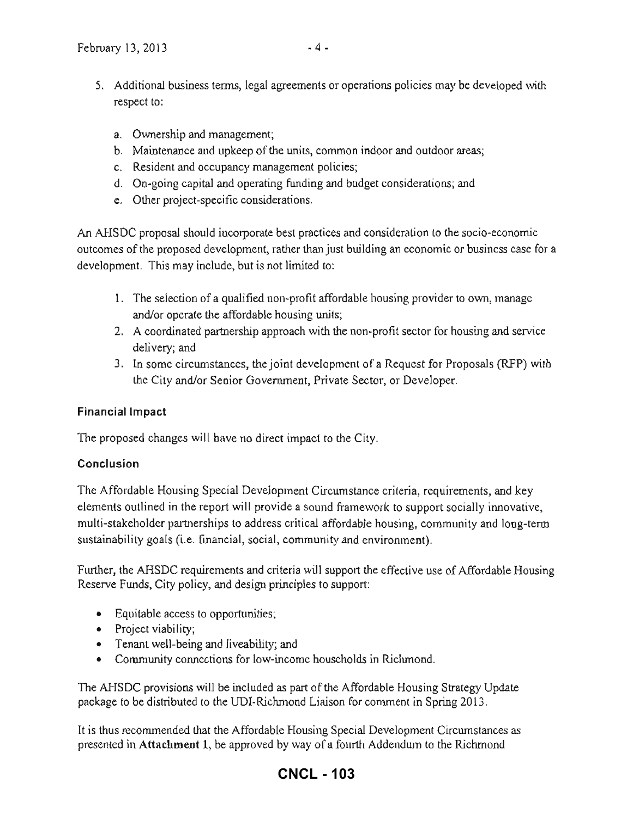- S. Additional business terms, legal agreements or operations policics may be developed with respect to:
	- a. Ownership and management;
	- b. Maintenance and upkeep of the units, common indoor and outdoor areas;
	- c. Resident and occupancy management policies;
	- d. On-going capital and operating funding and budget considerations; and
	- e. Other project-specific considerations.

An AHSDC proposal should incorporate best practices and consideration to the socio-economic outcomes of the proposed development, rather than just building an economic or business case for a development. This may include, but is not limited to:

- 1. The selection of a qualified non-profit affordable housing provider to own, manage and/or operate the affordable housing units;
- 2. A coordinated partnership approach with the non-profit sector for housing and service delivery; and
- 3. In some circumstances, the joint development of a Request for Proposals (RFP) with the City and/or Senior Government, Private Sector, or Developer.

# Financial Impact

The proposed changes will have no direct impact to the City.

### Conclusion

The Affordable Housing Special Development Circumstance criteria, requirements, and key elements outlined in the report will provide a sound framework to support socially innovative, multi-stakeholder partnerships to address critical affordable housing, community and long-tenn sustainability goals (i.e. financial, social, community and environment).

Further, the AHSDC requirements and criteria will support the effective use of Affordable Housing Reserve Funds, City policy, and design principles to support:

- Equitable access to opportunities;
- Project viability:
- Tenant well-being and liveability; and
- Community connections for low-income households in Richmond.

The AHSDC provisions will be included as part of the Affordable Housing Strategy Update package to be distributed to the UDI-Richmond Liaison for comment in Spring 2013.

It is thus recommended that the Affordable Housing Special Development Circwnstances as presented in Attachment 1, be approved by way of a fourth Addendum to the Richmond

# **CNCL - 103**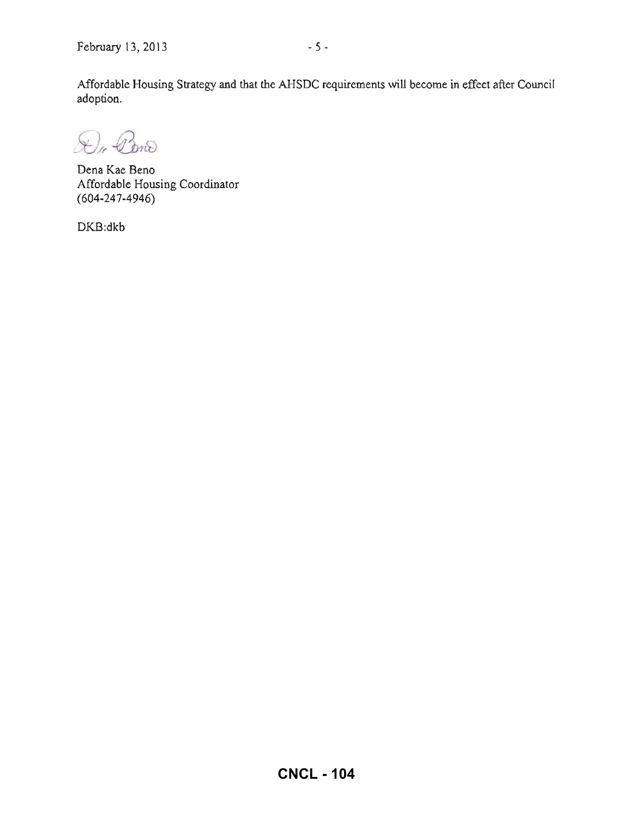Dr. Pond

**Dena Kae Beno Affordable Housing Coordinator**  (604-247-4946)

DKB:dkb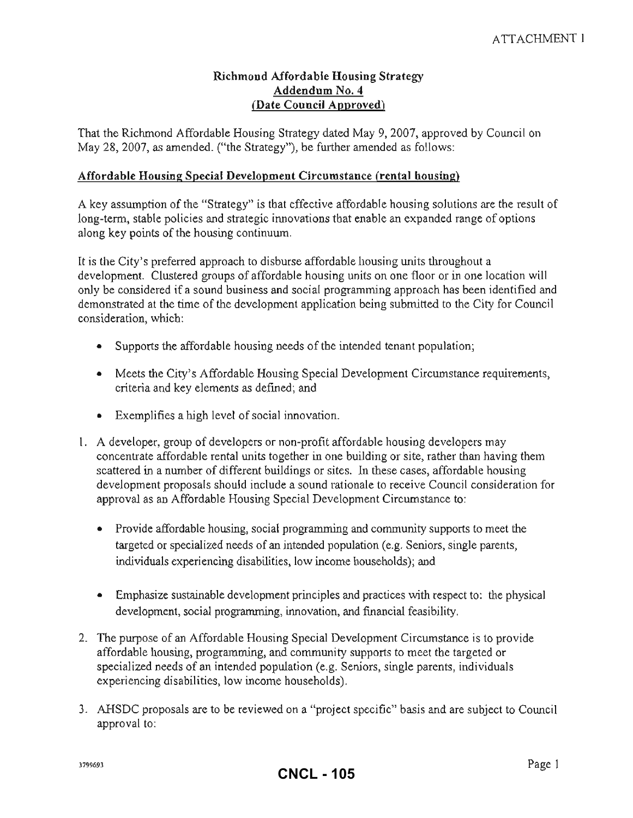#### **Richmond Affordable Housing Strategy Addendum No.4 (Date Council Approved)**

That the Richmond Affordable Housing Strategy dated May 9, 2007, approved by Council on May 28, 2007, as amended. ("the Strategy"), be further amended as follows:

#### **Affordable Housing Special Development Circumstance (rental housing)**

A key assumption of the "Strategy" is that effective affordable housing solutions are the result of long-term, stable policies and strategic innovations that enable an expanded range of options along key points of the housing continuum.

It is the City's preferred approach to disburse affordable housing units throughout a development. Clustered groups of affordable housing units on one floor or in one location will only be considered if a sound business and social programming approach has been identified and demonstrated at the time of the development application being submitted to the City for Council consideration, which:

- Supports the affordable housing needs of the intended tenant population;
- Meets the City's Affordable Housing Special Development Circumstance requirements, criteria and key elements as defined; and
- Exemplifies a high level of social innovation.
- I. A developer, group of developers or non-profit affordable housing developers may concentrate affordable rental units together in one building or site, rather than having them scattered in a number of different buildings or sites. In these cases, affordable housing development proposals should include a sound rationale to receive Council consideration for approval as an Affordable Housing Special Development Circumstance to:
	- Provide affordable housing, social programming and community supports to meet the targeted or specialized needs of an intended population (e.g. Seniors, single parents, individuals experiencing disabilities, low income households); and
	- Emphasize sustainable development principles and practices with respect to: the physical development, social programming, innovation, and fmancial feasibility.
- 2. The purpose of an Affordable Housing Special Development Circumstance is to provide affordable housing, programming, and conununity supports to meet the targeted or specialized needs of an intended population (e.g. Seniors, single parents, individuals experiencing disabilities, low income households).
- 3. AHSDC proposals are to be reviewed on a "project specific" basis and are subject to Council approval to: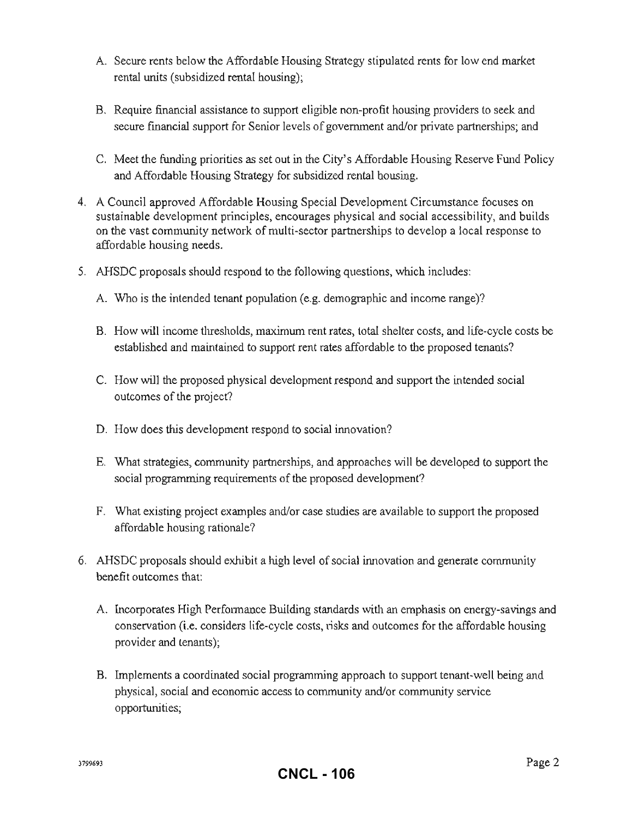- A. Secure rents below the Affordable Housing Strategy stipulated rents for low end market rental units (subsidized rental housing);
- B. Require financial assistance to support eligible non-profit housing providers to seek and secure financial support for Senior levels of government and/or private partnerships; and
- C. Meet the funding priorities as set out in the City's Affordable Housing Reserve Fund Policy and Affordable Housing Strategy for subsidized rental housing.
- 4. A Council approved Affordable Housing Special Development Circumstance focuses on sustainable development principles, encourages physical and social accessibility, and builds on the vast community network of multi-sector partnerships to develop a local response to affordable housing needs.
- 5. AHSDC proposals should respond to the following questions, whlch includes:
	- A. Who is the intended tenant population (e.g. demographic and income range)?
	- B. How will income thresholds, maximum rent rates, total shelter costs, and life-cycle costs be established and maintained to support rent rates affordable to the proposed tenants?
	- C. How will the proposed physical development respond and support the intended social outcomes of the project?
	- D. How does this development respond to social innovation?
	- E. What strategies, community partnerships, and approaches will be developed to support the social programming requirements of the proposed development?
	- F. What existing project examples and/or case studies are available to support the proposed affordable housing rationale?
- 6. AHSDC proposals should exhibit a high level of social innovation and generate community benefit outcomes that:
	- A. Incorporates High Perfonnance Building standards with an emphasis on energy-savings and conservation (i.e. considers life-cycle costs, risks and outcomes for the affordable housing provider and tenants);
	- B. Implements a coordinated social programming approach to support tenant-well being and physical, social and economic access to community and/or community service opportunities;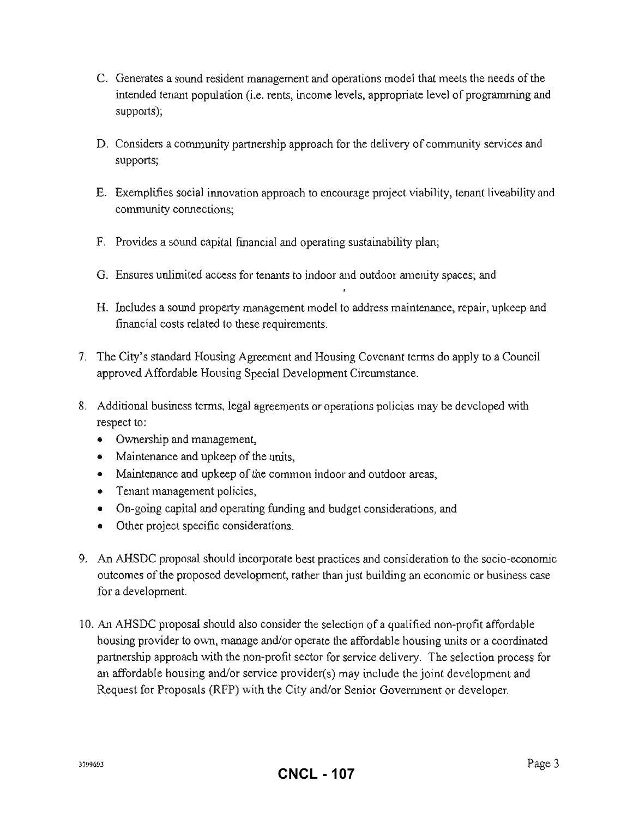- C. Generates a sound resident management and operations model that meets the needs of the intended tenant population (i.e. rents, income levels, appropriate level of programming and supports);
- D. Considers a community partnership approach for the delivery of community services and supports;
- E. Exemplifies social innovation approach to encourage project viability, tenant liveability and community connections;
- F. Provides a sound capital fmancial and operating sustainability plan;
- G. Ensures unlimited access for tenants to indoor and outdoor amenity spaces; and
- H. Includes a sound property management model to address maintenance, repair, upkeep and financial costs related to these requirements.
- 7. The City's standard Housing Agreement and Housing Covenant tenns do apply to a Council approved Affordable Housing Special Development Circwnstance.
- 8. Additional business terms, legal agreements or operations policies may be developed with respect to:
	- Ownership and management,
	- Maintenance and upkeep of the units,
	- Maintenance and upkeep of the common indoor and outdoor areas,
	- Tenant management policies,
	- On-going capital and operating funding and budget considerations, and
	- Other project specific considerations.
- 9. An AHSDC proposal should incorporate best practices and consideration to the socia-economic outcomes of the proposed development, rather than just building an economic or business case for a development.
- 10. An AHSDC proposal should also consider the selection of a qualified non-profit affordable housing provider to own, manage andlor operate the affordable housing units or a coordinated partnership approach with the non-profit sector for service delivery. The selection process for an affordable housing and/or service provider(s) may include the joint development and Request for Proposals (RFP) with the City and/or Senior Government or developer.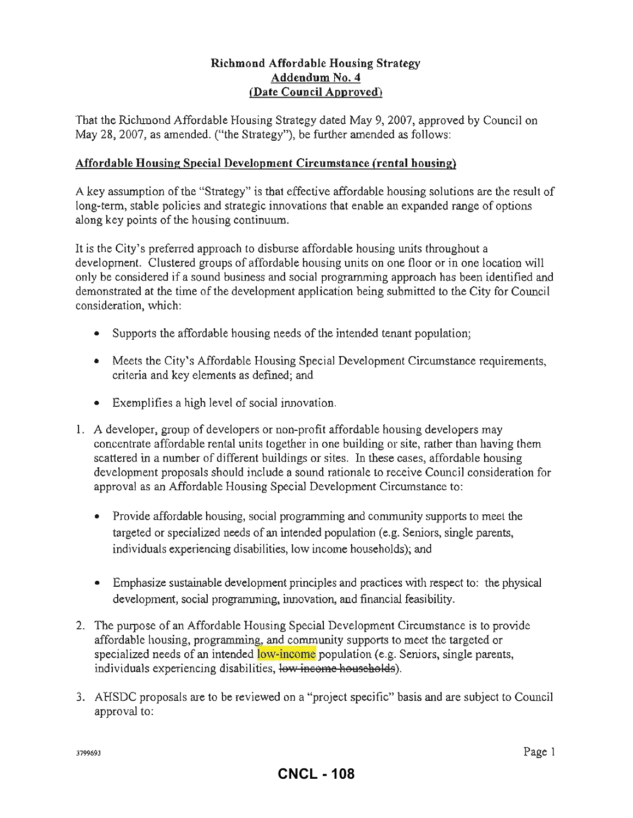#### **Richmond Affordable Housing Strategy**  Addendum No.4 **(Date Council Approved)**

That the Richmond Affordable Housing Strategy dated May 9, 2007, approved by Council on May 28, 2007, as amended. ("the Strategy"), be further amended as follows:

#### **Affordable Housing Special Development Circumstance (rental housing)**

A key assumption of the «Strategy" is that effective affordable housing solutions are the result of long-term, stable policies and strategic innovations that enable an expanded range of options along key points of the housing continuum.

It is the City's preferred approach to disburse affordable housing units throughout a development. Clustered groups of affordable housing units on one floor or in one location will only be considered if a sound business and social programming approach has been identified and demonstrated at the time of the development application being submitted to the City for Council consideration, which:

- Supports the affordable housing needs of the intended tenant population;
- Meets the City's Affordable Housing Special Development Circumstance requirements, criteria and key elements as defined; and
- Exemplifies a high level of social innovation.
- 1. A developer, group of developers or non-profit affordable housing developers may concentrate affordable rental units together in one building or site, rather than having them scattered in a number of different buildings or sites. In these cases, affordable housing development proposals should include a sound rationale to receive Council consideration for approval as an Affordable Housing Special Development Circumstance to:
	- Provide affordable housing, social programming and community supports to meet the targeted or specialized needs of an intended population (e.g. Seniors, single parents, individuals experiencing disabilities, low income households); and
	- Emphasize sustainable development principles and practices with respect to: the physical development, social programming, innovation, and financial feasibility.
- 2. The purpose of an Affordable Housing Special Development Circumstance is to provide affordable housing, programming, and community supports to meet the targeted or specialized needs of an intended low-income population (e.g. Seniors, single parents, individuals experiencing disabilities, low income households).
- 3. AHSDC proposals are to be reviewed on a "project specific" basis and are subject to Council approval to: